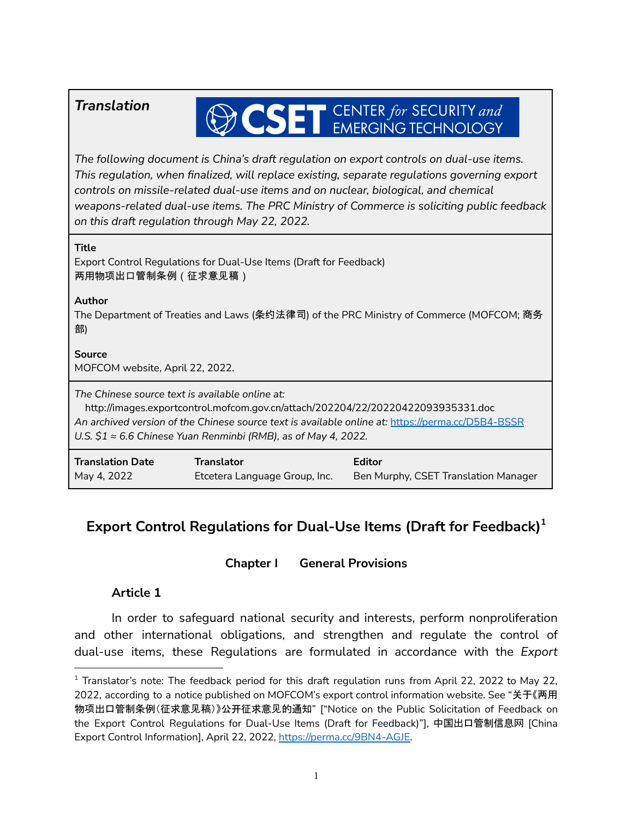# **OSET** CENTER for SECURITY and

*The following document is China's draft regulation on export controls on dual-use items. This regulation, when finalized, will replace existing, separate regulations governing export controls on missile-related dual-use items and on nuclear, biological, and chemical weapons-related dual-use items. The PRC Ministry of Commerce is soliciting public feedback on this draft regulation through May 22, 2022.*

| on this draft regulation through May 22, 2022.                                                                                                                                                                                                                                                                    |                                                                    |                                                       |
|-------------------------------------------------------------------------------------------------------------------------------------------------------------------------------------------------------------------------------------------------------------------------------------------------------------------|--------------------------------------------------------------------|-------------------------------------------------------|
| Title<br>两用物项出口管制条例(征求意见稿)                                                                                                                                                                                                                                                                                        | Export Control Regulations for Dual-Use Items (Draft for Feedback) |                                                       |
| Author<br>The Department of Treaties and Laws (条约法律司) of the PRC Ministry of Commerce (MOFCOM; 商务<br>部)                                                                                                                                                                                                           |                                                                    |                                                       |
| Source<br>MOFCOM website, April 22, 2022.                                                                                                                                                                                                                                                                         |                                                                    |                                                       |
| The Chinese source text is available online at:<br>http://images.exportcontrol.mofcom.gov.cn/attach/202204/22/20220422093935331.doc<br>An archived version of the Chinese source text is available online at: https://perma.cc/D5B4-BSSR<br>U.S. $$1 \approx 6.6$ Chinese Yuan Renminbi (RMB), as of May 4, 2022. |                                                                    |                                                       |
| <b>Translation Date</b><br>May 4, 2022                                                                                                                                                                                                                                                                            | <b>Translator</b><br>Etcetera Language Group, Inc.                 | <b>Editor</b><br>Ben Murphy, CSET Translation Manager |

## **Export Control Regulations for Dual-Use Items (Draft for Feedback) 1**

## **Chapter I General Provisions**

#### **Article 1**

In order to safeguard national security and interests, perform nonproliferation and other international obligations, and strengthen and regulate the control of dual-use items, these Regulations are formulated in accordance with the *Export*

 $1$  Translator's note: The feedback period for this draft regulation runs from April 22, 2022 to May 22, 2022, according to a notice published on MOFCOM's export control information website. See "关于《两用 物项出口管制条例(征求意见稿)》公开征求意见的通知" ["Notice on the Public Solicitation of Feedback on the Export Control Regulations for Dual-Use Items (Draft for Feedback)"], 中国出口管制信息网 [China Export Control Information], April 22, 2022, [https://perma.cc/9BN4-AGJE.](https://perma.cc/9BN4-AGJE)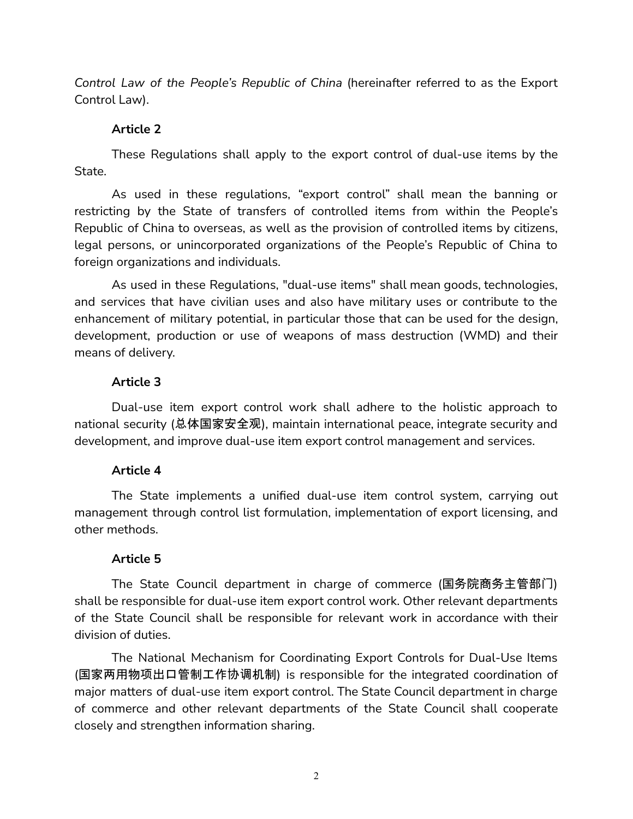*Control Law of the People's Republic of China* (hereinafter referred to as the Export Control Law).

#### **Article 2**

These Regulations shall apply to the export control of dual-use items by the State.

As used in these regulations, "export control" shall mean the banning or restricting by the State of transfers of controlled items from within the People's Republic of China to overseas, as well as the provision of controlled items by citizens, legal persons, or unincorporated organizations of the People's Republic of China to foreign organizations and individuals.

As used in these Regulations, "dual-use items" shall mean goods, technologies, and services that have civilian uses and also have military uses or contribute to the enhancement of military potential, in particular those that can be used for the design, development, production or use of weapons of mass destruction (WMD) and their means of delivery.

## **Article 3**

Dual-use item export control work shall adhere to the holistic approach to national security (总体国家安全观), maintain international peace, integrate security and development, and improve dual-use item export control management and services.

#### **Article 4**

The State implements a unified dual-use item control system, carrying out management through control list formulation, implementation of export licensing, and other methods.

#### **Article 5**

The State Council department in charge of commerce (国务院商务主管部门) shall be responsible for dual-use item export control work. Other relevant departments of the State Council shall be responsible for relevant work in accordance with their division of duties.

The National Mechanism for Coordinating Export Controls for Dual-Use Items (国家两用物项出口管制工作协调机制) is responsible for the integrated coordination of major matters of dual-use item export control. The State Council department in charge of commerce and other relevant departments of the State Council shall cooperate closely and strengthen information sharing.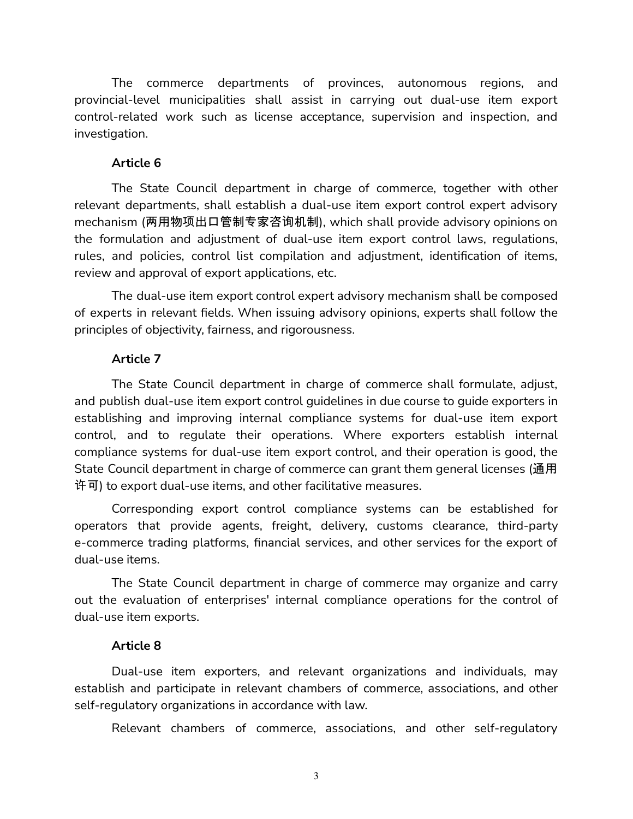The commerce departments of provinces, autonomous regions, and provincial-level municipalities shall assist in carrying out dual-use item export control-related work such as license acceptance, supervision and inspection, and investigation.

#### **Article 6**

The State Council department in charge of commerce, together with other relevant departments, shall establish a dual-use item export control expert advisory mechanism (两用物项出口管制专家咨询机制), which shall provide advisory opinions on the formulation and adjustment of dual-use item export control laws, regulations, rules, and policies, control list compilation and adjustment, identification of items, review and approval of export applications, etc.

The dual-use item export control expert advisory mechanism shall be composed of experts in relevant fields. When issuing advisory opinions, experts shall follow the principles of objectivity, fairness, and rigorousness.

#### **Article 7**

The State Council department in charge of commerce shall formulate, adjust, and publish dual-use item export control guidelines in due course to guide exporters in establishing and improving internal compliance systems for dual-use item export control, and to regulate their operations. Where exporters establish internal compliance systems for dual-use item export control, and their operation is good, the State Council department in charge of commerce can grant them general licenses (通用 许可) to export dual-use items, and other facilitative measures.

Corresponding export control compliance systems can be established for operators that provide agents, freight, delivery, customs clearance, third-party e-commerce trading platforms, financial services, and other services for the export of dual-use items.

The State Council department in charge of commerce may organize and carry out the evaluation of enterprises' internal compliance operations for the control of dual-use item exports.

#### **Article 8**

Dual-use item exporters, and relevant organizations and individuals, may establish and participate in relevant chambers of commerce, associations, and other self-regulatory organizations in accordance with law.

Relevant chambers of commerce, associations, and other self-regulatory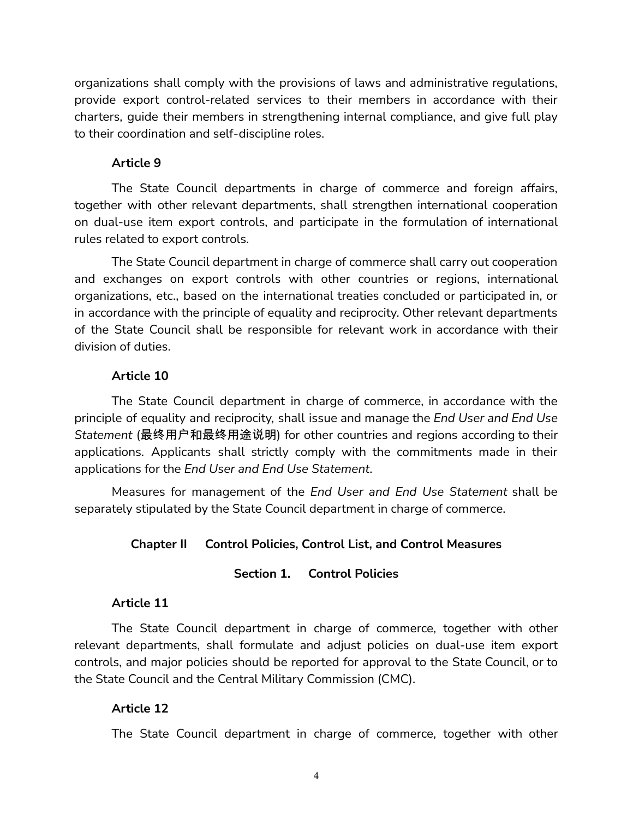organizations shall comply with the provisions of laws and administrative regulations, provide export control-related services to their members in accordance with their charters, guide their members in strengthening internal compliance, and give full play to their coordination and self-discipline roles.

#### **Article 9**

The State Council departments in charge of commerce and foreign affairs, together with other relevant departments, shall strengthen international cooperation on dual-use item export controls, and participate in the formulation of international rules related to export controls.

The State Council department in charge of commerce shall carry out cooperation and exchanges on export controls with other countries or regions, international organizations, etc., based on the international treaties concluded or participated in, or in accordance with the principle of equality and reciprocity. Other relevant departments of the State Council shall be responsible for relevant work in accordance with their division of duties.

#### **Article 10**

The State Council department in charge of commerce, in accordance with the principle of equality and reciprocity, shall issue and manage the *End User and End Use Statement* (最终用户和最终用途说明) for other countries and regions according to their applications. Applicants shall strictly comply with the commitments made in their applications for the *End User and End Use Statement*.

Measures for management of the *End User and End Use Statement* shall be separately stipulated by the State Council department in charge of commerce.

#### **Chapter II Control Policies, Control List, and Control Measures**

#### **Section 1. Control Policies**

#### **Article 11**

The State Council department in charge of commerce, together with other relevant departments, shall formulate and adjust policies on dual-use item export controls, and major policies should be reported for approval to the State Council, or to the State Council and the Central Military Commission (CMC).

#### **Article 12**

The State Council department in charge of commerce, together with other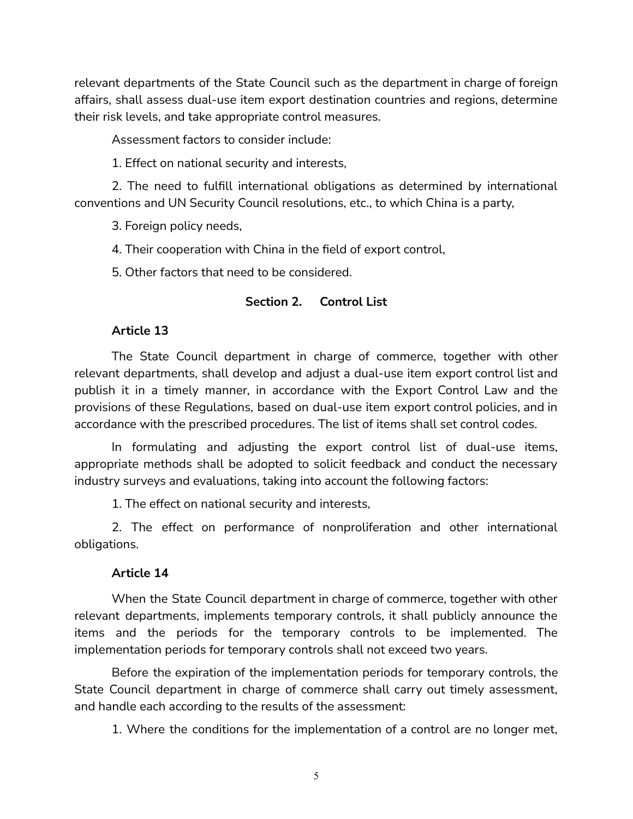relevant departments of the State Council such as the department in charge of foreign affairs, shall assess dual-use item export destination countries and regions, determine their risk levels, and take appropriate control measures.

Assessment factors to consider include:

1. Effect on national security and interests,

2. The need to fulfill international obligations as determined by international conventions and UN Security Council resolutions, etc., to which China is a party,

3. Foreign policy needs,

4. Their cooperation with China in the field of export control,

5. Other factors that need to be considered.

#### **Section 2. Control List**

#### **Article 13**

The State Council department in charge of commerce, together with other relevant departments, shall develop and adjust a dual-use item export control list and publish it in a timely manner, in accordance with the Export Control Law and the provisions of these Regulations, based on dual-use item export control policies, and in accordance with the prescribed procedures. The list of items shall set control codes.

In formulating and adjusting the export control list of dual-use items, appropriate methods shall be adopted to solicit feedback and conduct the necessary industry surveys and evaluations, taking into account the following factors:

1. The effect on national security and interests,

2. The effect on performance of nonproliferation and other international obligations.

#### **Article 14**

When the State Council department in charge of commerce, together with other relevant departments, implements temporary controls, it shall publicly announce the items and the periods for the temporary controls to be implemented. The implementation periods for temporary controls shall not exceed two years.

Before the expiration of the implementation periods for temporary controls, the State Council department in charge of commerce shall carry out timely assessment, and handle each according to the results of the assessment:

1. Where the conditions for the implementation of a control are no longer met,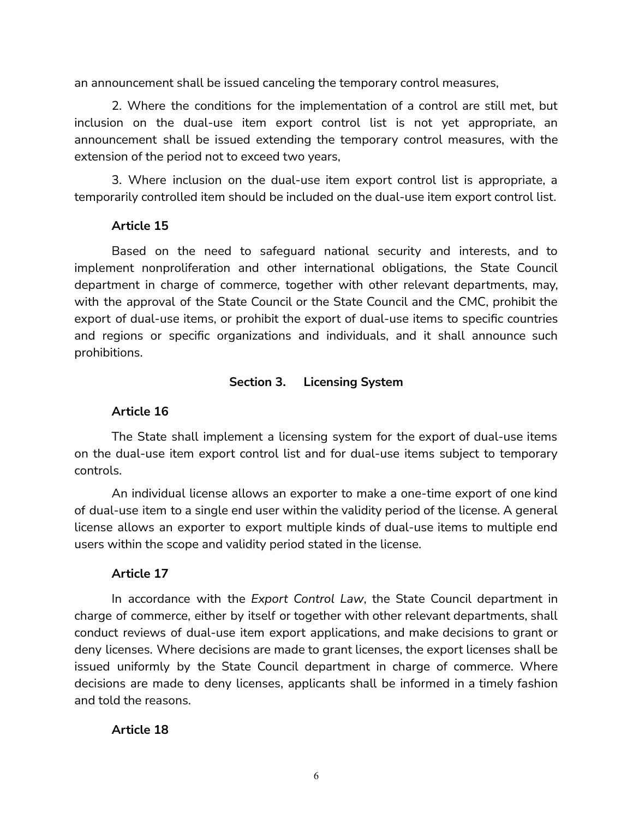an announcement shall be issued canceling the temporary control measures,

2. Where the conditions for the implementation of a control are still met, but inclusion on the dual-use item export control list is not yet appropriate, an announcement shall be issued extending the temporary control measures, with the extension of the period not to exceed two years,

3. Where inclusion on the dual-use item export control list is appropriate, a temporarily controlled item should be included on the dual-use item export control list.

## **Article 15**

Based on the need to safeguard national security and interests, and to implement nonproliferation and other international obligations, the State Council department in charge of commerce, together with other relevant departments, may, with the approval of the State Council or the State Council and the CMC, prohibit the export of dual-use items, or prohibit the export of dual-use items to specific countries and regions or specific organizations and individuals, and it shall announce such prohibitions.

#### **Section 3. Licensing System**

## **Article 16**

The State shall implement a licensing system for the export of dual-use items on the dual-use item export control list and for dual-use items subject to temporary controls.

An individual license allows an exporter to make a one-time export of one kind of dual-use item to a single end user within the validity period of the license. A general license allows an exporter to export multiple kinds of dual-use items to multiple end users within the scope and validity period stated in the license.

#### **Article 17**

In accordance with the *Export Control Law*, the State Council department in charge of commerce, either by itself or together with other relevant departments, shall conduct reviews of dual-use item export applications, and make decisions to grant or deny licenses. Where decisions are made to grant licenses, the export licenses shall be issued uniformly by the State Council department in charge of commerce. Where decisions are made to deny licenses, applicants shall be informed in a timely fashion and told the reasons.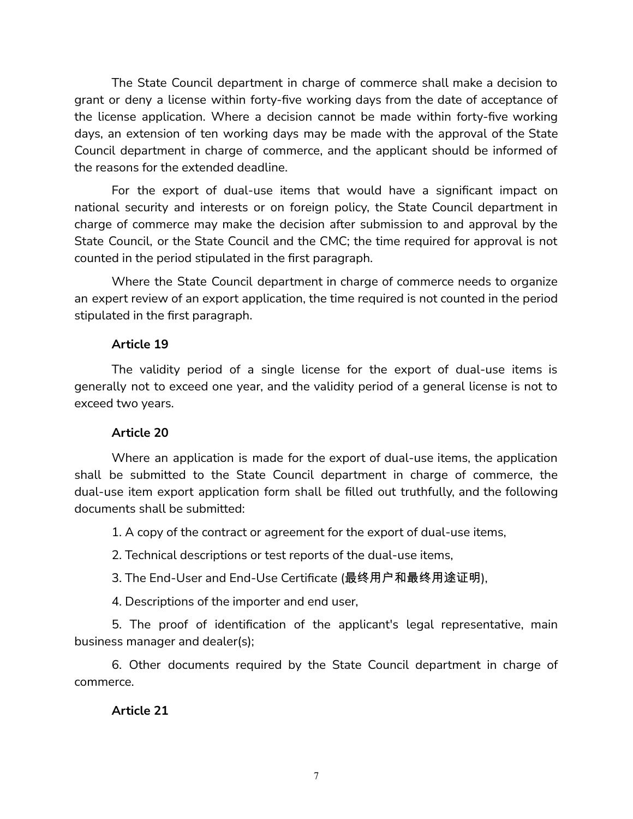The State Council department in charge of commerce shall make a decision to grant or deny a license within forty-five working days from the date of acceptance of the license application. Where a decision cannot be made within forty-five working days, an extension of ten working days may be made with the approval of the State Council department in charge of commerce, and the applicant should be informed of the reasons for the extended deadline.

For the export of dual-use items that would have a significant impact on national security and interests or on foreign policy, the State Council department in charge of commerce may make the decision after submission to and approval by the State Council, or the State Council and the CMC; the time required for approval is not counted in the period stipulated in the first paragraph.

Where the State Council department in charge of commerce needs to organize an expert review of an export application, the time required is not counted in the period stipulated in the first paragraph.

#### **Article 19**

The validity period of a single license for the export of dual-use items is generally not to exceed one year, and the validity period of a general license is not to exceed two years.

#### **Article 20**

Where an application is made for the export of dual-use items, the application shall be submitted to the State Council department in charge of commerce, the dual-use item export application form shall be filled out truthfully, and the following documents shall be submitted:

1. A copy of the contract or agreement for the export of dual-use items,

2. Technical descriptions or test reports of the dual-use items,

3. The End-User and End-Use Certificate (最终用户和最终用途证明),

4. Descriptions of the importer and end user,

5. The proof of identification of the applicant's legal representative, main business manager and dealer(s);

6. Other documents required by the State Council department in charge of commerce.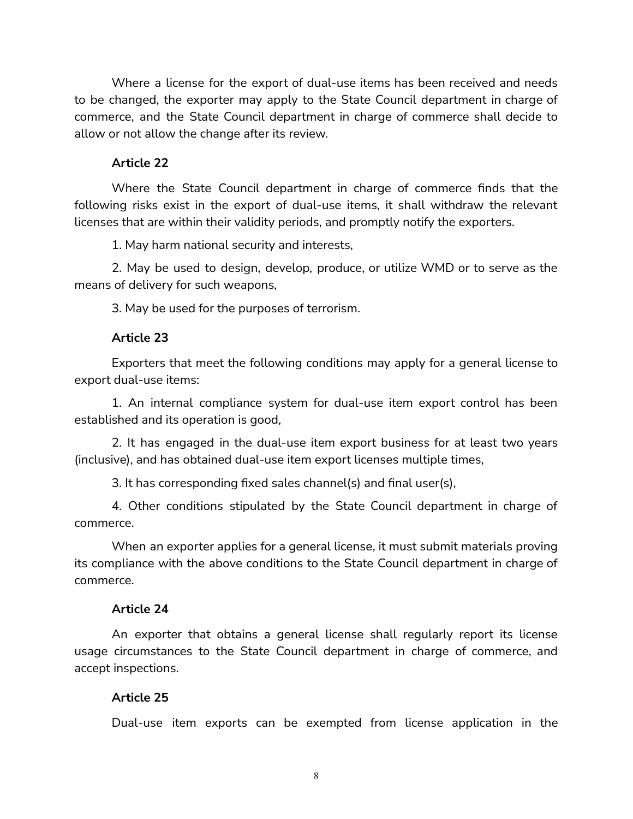Where a license for the export of dual-use items has been received and needs to be changed, the exporter may apply to the State Council department in charge of commerce, and the State Council department in charge of commerce shall decide to allow or not allow the change after its review.

#### **Article 22**

Where the State Council department in charge of commerce finds that the following risks exist in the export of dual-use items, it shall withdraw the relevant licenses that are within their validity periods, and promptly notify the exporters.

1. May harm national security and interests,

2. May be used to design, develop, produce, or utilize WMD or to serve as the means of delivery for such weapons,

3. May be used for the purposes of terrorism.

#### **Article 23**

Exporters that meet the following conditions may apply for a general license to export dual-use items:

1. An internal compliance system for dual-use item export control has been established and its operation is good,

2. It has engaged in the dual-use item export business for at least two years (inclusive), and has obtained dual-use item export licenses multiple times,

3. It has corresponding fixed sales channel(s) and final user(s),

4. Other conditions stipulated by the State Council department in charge of commerce.

When an exporter applies for a general license, it must submit materials proving its compliance with the above conditions to the State Council department in charge of commerce.

#### **Article 24**

An exporter that obtains a general license shall regularly report its license usage circumstances to the State Council department in charge of commerce, and accept inspections.

#### **Article 25**

Dual-use item exports can be exempted from license application in the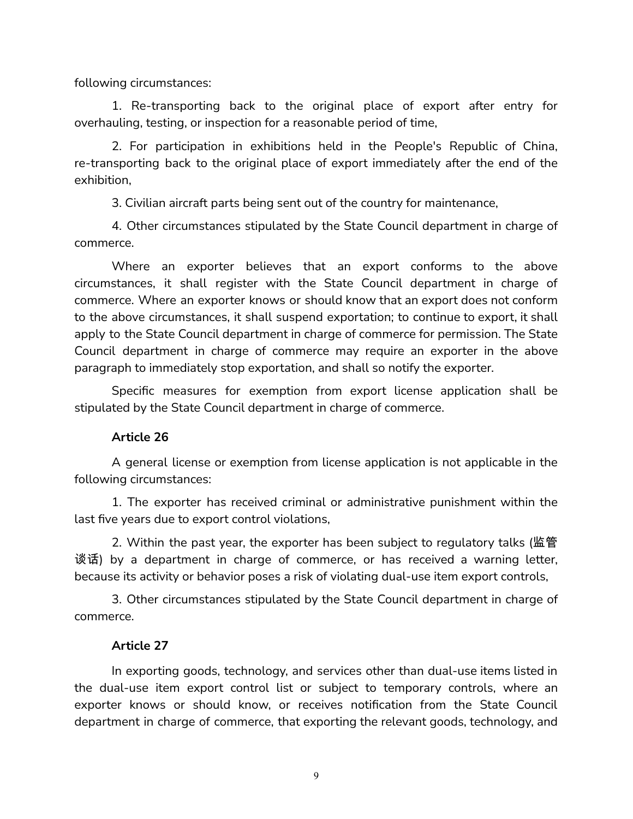following circumstances:

1. Re-transporting back to the original place of export after entry for overhauling, testing, or inspection for a reasonable period of time,

2. For participation in exhibitions held in the People's Republic of China, re-transporting back to the original place of export immediately after the end of the exhibition,

3. Civilian aircraft parts being sent out of the country for maintenance,

4. Other circumstances stipulated by the State Council department in charge of commerce.

Where an exporter believes that an export conforms to the above circumstances, it shall register with the State Council department in charge of commerce. Where an exporter knows or should know that an export does not conform to the above circumstances, it shall suspend exportation; to continue to export, it shall apply to the State Council department in charge of commerce for permission. The State Council department in charge of commerce may require an exporter in the above paragraph to immediately stop exportation, and shall so notify the exporter.

Specific measures for exemption from export license application shall be stipulated by the State Council department in charge of commerce.

#### **Article 26**

A general license or exemption from license application is not applicable in the following circumstances:

1. The exporter has received criminal or administrative punishment within the last five years due to export control violations,

2. Within the past year, the exporter has been subject to regulatory talks (监管 谈话) by a department in charge of commerce, or has received a warning letter, because its activity or behavior poses a risk of violating dual-use item export controls,

3. Other circumstances stipulated by the State Council department in charge of commerce.

#### **Article 27**

In exporting goods, technology, and services other than dual-use items listed in the dual-use item export control list or subject to temporary controls, where an exporter knows or should know, or receives notification from the State Council department in charge of commerce, that exporting the relevant goods, technology, and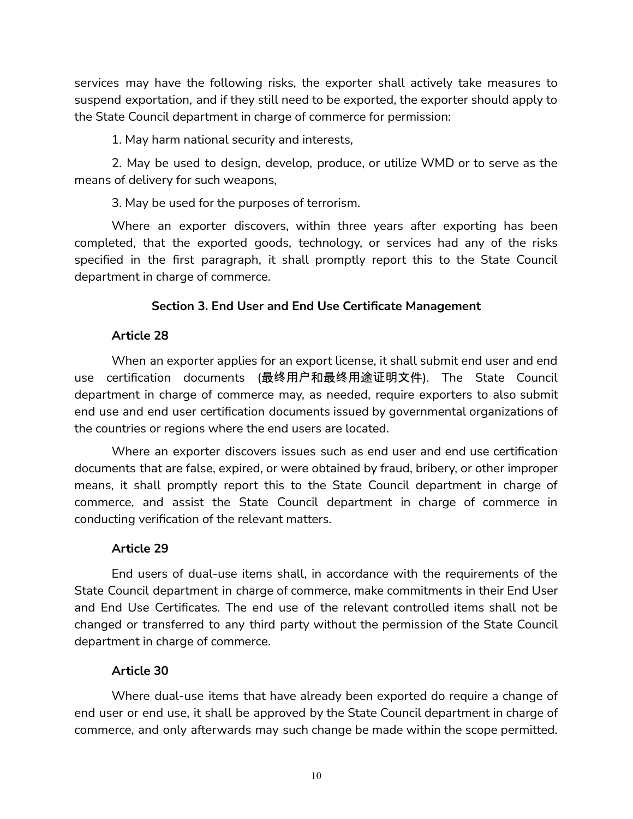services may have the following risks, the exporter shall actively take measures to suspend exportation, and if they still need to be exported, the exporter should apply to the State Council department in charge of commerce for permission:

1. May harm national security and interests,

2. May be used to design, develop, produce, or utilize WMD or to serve as the means of delivery for such weapons,

3. May be used for the purposes of terrorism.

Where an exporter discovers, within three years after exporting has been completed, that the exported goods, technology, or services had any of the risks specified in the first paragraph, it shall promptly report this to the State Council department in charge of commerce.

## **Section 3. End User and End Use Certificate Management**

## **Article 28**

When an exporter applies for an export license, it shall submit end user and end use certification documents (最终用户和最终用途证明文件). The State Council department in charge of commerce may, as needed, require exporters to also submit end use and end user certification documents issued by governmental organizations of the countries or regions where the end users are located.

Where an exporter discovers issues such as end user and end use certification documents that are false, expired, or were obtained by fraud, bribery, or other improper means, it shall promptly report this to the State Council department in charge of commerce, and assist the State Council department in charge of commerce in conducting verification of the relevant matters.

## **Article 29**

End users of dual-use items shall, in accordance with the requirements of the State Council department in charge of commerce, make commitments in their End User and End Use Certificates. The end use of the relevant controlled items shall not be changed or transferred to any third party without the permission of the State Council department in charge of commerce.

## **Article 30**

Where dual-use items that have already been exported do require a change of end user or end use, it shall be approved by the State Council department in charge of commerce, and only afterwards may such change be made within the scope permitted.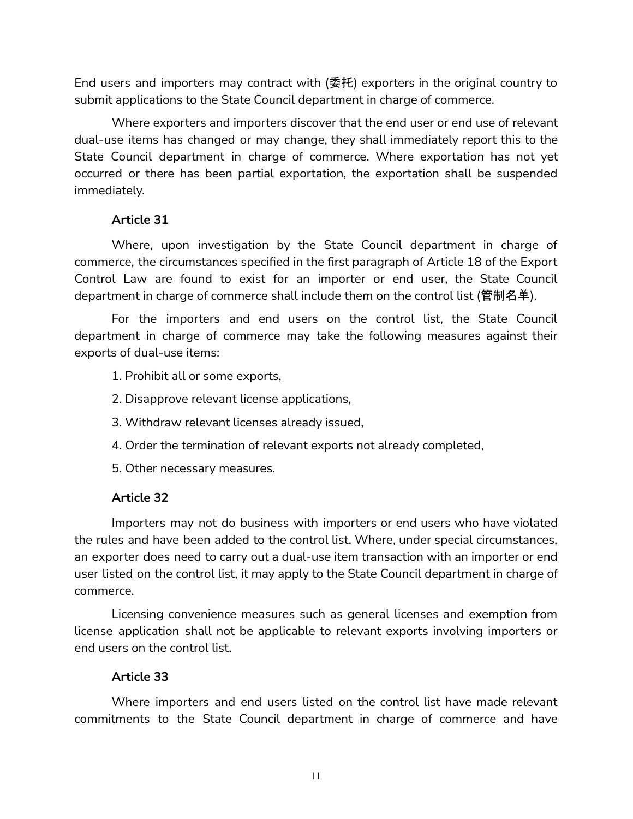End users and importers may contract with (委托) exporters in the original country to submit applications to the State Council department in charge of commerce.

Where exporters and importers discover that the end user or end use of relevant dual-use items has changed or may change, they shall immediately report this to the State Council department in charge of commerce. Where exportation has not yet occurred or there has been partial exportation, the exportation shall be suspended immediately.

## **Article 31**

Where, upon investigation by the State Council department in charge of commerce, the circumstances specified in the first paragraph of Article 18 of the Export Control Law are found to exist for an importer or end user, the State Council department in charge of commerce shall include them on the control list (管制名单).

For the importers and end users on the control list, the State Council department in charge of commerce may take the following measures against their exports of dual-use items:

- 1. Prohibit all or some exports,
- 2. Disapprove relevant license applications,
- 3. Withdraw relevant licenses already issued,
- 4. Order the termination of relevant exports not already completed,
- 5. Other necessary measures.

#### **Article 32**

Importers may not do business with importers or end users who have violated the rules and have been added to the control list. Where, under special circumstances, an exporter does need to carry out a dual-use item transaction with an importer or end user listed on the control list, it may apply to the State Council department in charge of commerce.

Licensing convenience measures such as general licenses and exemption from license application shall not be applicable to relevant exports involving importers or end users on the control list.

#### **Article 33**

Where importers and end users listed on the control list have made relevant commitments to the State Council department in charge of commerce and have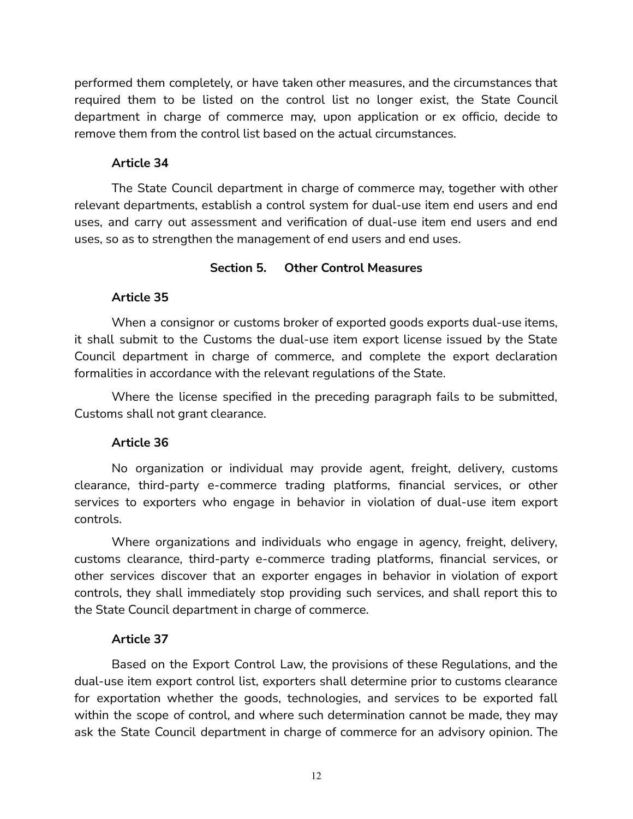performed them completely, or have taken other measures, and the circumstances that required them to be listed on the control list no longer exist, the State Council department in charge of commerce may, upon application or ex officio, decide to remove them from the control list based on the actual circumstances.

#### **Article 34**

The State Council department in charge of commerce may, together with other relevant departments, establish a control system for dual-use item end users and end uses, and carry out assessment and verification of dual-use item end users and end uses, so as to strengthen the management of end users and end uses.

## **Section 5. Other Control Measures**

## **Article 35**

When a consignor or customs broker of exported goods exports dual-use items, it shall submit to the Customs the dual-use item export license issued by the State Council department in charge of commerce, and complete the export declaration formalities in accordance with the relevant regulations of the State.

Where the license specified in the preceding paragraph fails to be submitted, Customs shall not grant clearance.

#### **Article 36**

No organization or individual may provide agent, freight, delivery, customs clearance, third-party e-commerce trading platforms, financial services, or other services to exporters who engage in behavior in violation of dual-use item export controls.

Where organizations and individuals who engage in agency, freight, delivery, customs clearance, third-party e-commerce trading platforms, financial services, or other services discover that an exporter engages in behavior in violation of export controls, they shall immediately stop providing such services, and shall report this to the State Council department in charge of commerce.

## **Article 37**

Based on the Export Control Law, the provisions of these Regulations, and the dual-use item export control list, exporters shall determine prior to customs clearance for exportation whether the goods, technologies, and services to be exported fall within the scope of control, and where such determination cannot be made, they may ask the State Council department in charge of commerce for an advisory opinion. The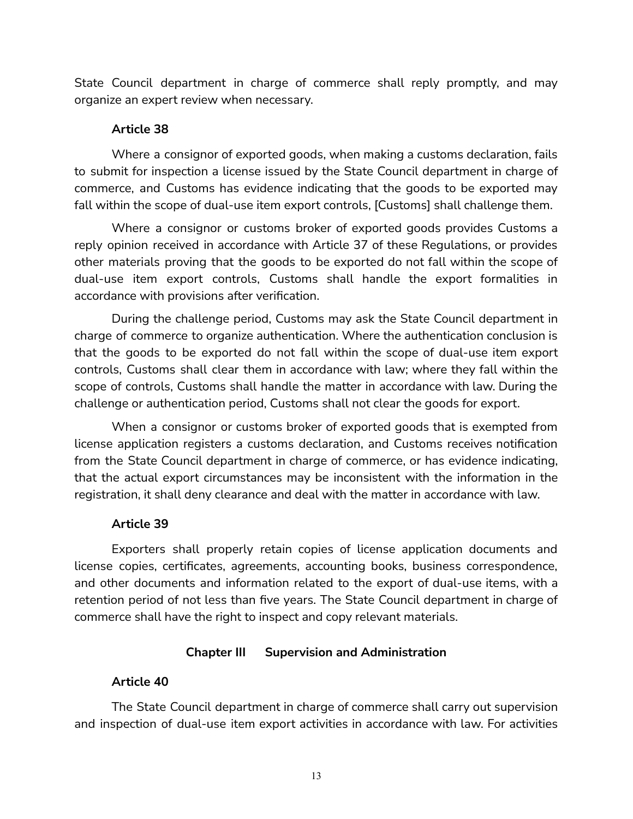State Council department in charge of commerce shall reply promptly, and may organize an expert review when necessary.

#### **Article 38**

Where a consignor of exported goods, when making a customs declaration, fails to submit for inspection a license issued by the State Council department in charge of commerce, and Customs has evidence indicating that the goods to be exported may fall within the scope of dual-use item export controls, [Customs] shall challenge them.

Where a consignor or customs broker of exported goods provides Customs a reply opinion received in accordance with Article 37 of these Regulations, or provides other materials proving that the goods to be exported do not fall within the scope of dual-use item export controls, Customs shall handle the export formalities in accordance with provisions after verification.

During the challenge period, Customs may ask the State Council department in charge of commerce to organize authentication. Where the authentication conclusion is that the goods to be exported do not fall within the scope of dual-use item export controls, Customs shall clear them in accordance with law; where they fall within the scope of controls, Customs shall handle the matter in accordance with law. During the challenge or authentication period, Customs shall not clear the goods for export.

When a consignor or customs broker of exported goods that is exempted from license application registers a customs declaration, and Customs receives notification from the State Council department in charge of commerce, or has evidence indicating, that the actual export circumstances may be inconsistent with the information in the registration, it shall deny clearance and deal with the matter in accordance with law.

#### **Article 39**

Exporters shall properly retain copies of license application documents and license copies, certificates, agreements, accounting books, business correspondence, and other documents and information related to the export of dual-use items, with a retention period of not less than five years. The State Council department in charge of commerce shall have the right to inspect and copy relevant materials.

## **Chapter III Supervision and Administration**

## **Article 40**

The State Council department in charge of commerce shall carry out supervision and inspection of dual-use item export activities in accordance with law. For activities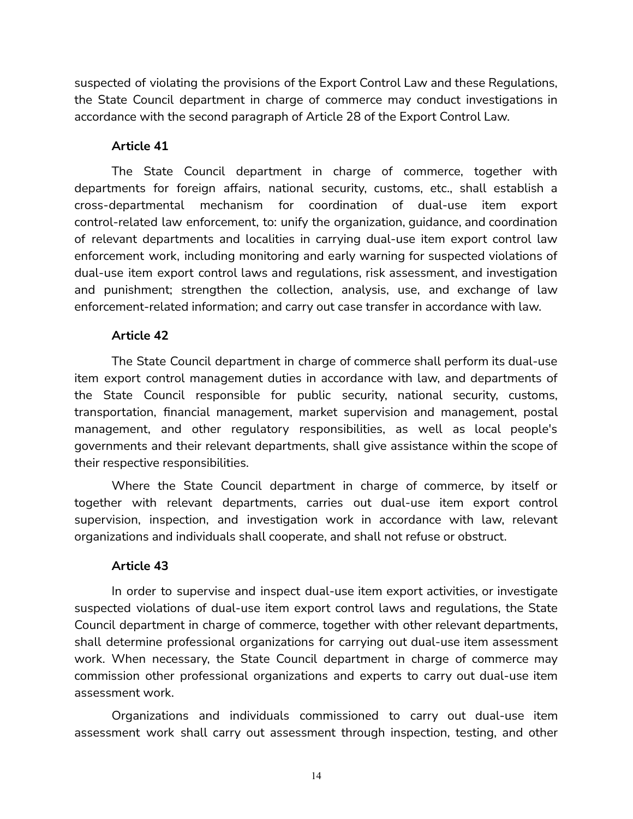suspected of violating the provisions of the Export Control Law and these Regulations, the State Council department in charge of commerce may conduct investigations in accordance with the second paragraph of Article 28 of the Export Control Law.

## **Article 41**

The State Council department in charge of commerce, together with departments for foreign affairs, national security, customs, etc., shall establish a cross-departmental mechanism for coordination of dual-use item export control-related law enforcement, to: unify the organization, guidance, and coordination of relevant departments and localities in carrying dual-use item export control law enforcement work, including monitoring and early warning for suspected violations of dual-use item export control laws and regulations, risk assessment, and investigation and punishment; strengthen the collection, analysis, use, and exchange of law enforcement-related information; and carry out case transfer in accordance with law.

## **Article 42**

The State Council department in charge of commerce shall perform its dual-use item export control management duties in accordance with law, and departments of the State Council responsible for public security, national security, customs, transportation, financial management, market supervision and management, postal management, and other regulatory responsibilities, as well as local people's governments and their relevant departments, shall give assistance within the scope of their respective responsibilities.

Where the State Council department in charge of commerce, by itself or together with relevant departments, carries out dual-use item export control supervision, inspection, and investigation work in accordance with law, relevant organizations and individuals shall cooperate, and shall not refuse or obstruct.

## **Article 43**

In order to supervise and inspect dual-use item export activities, or investigate suspected violations of dual-use item export control laws and regulations, the State Council department in charge of commerce, together with other relevant departments, shall determine professional organizations for carrying out dual-use item assessment work. When necessary, the State Council department in charge of commerce may commission other professional organizations and experts to carry out dual-use item assessment work.

Organizations and individuals commissioned to carry out dual-use item assessment work shall carry out assessment through inspection, testing, and other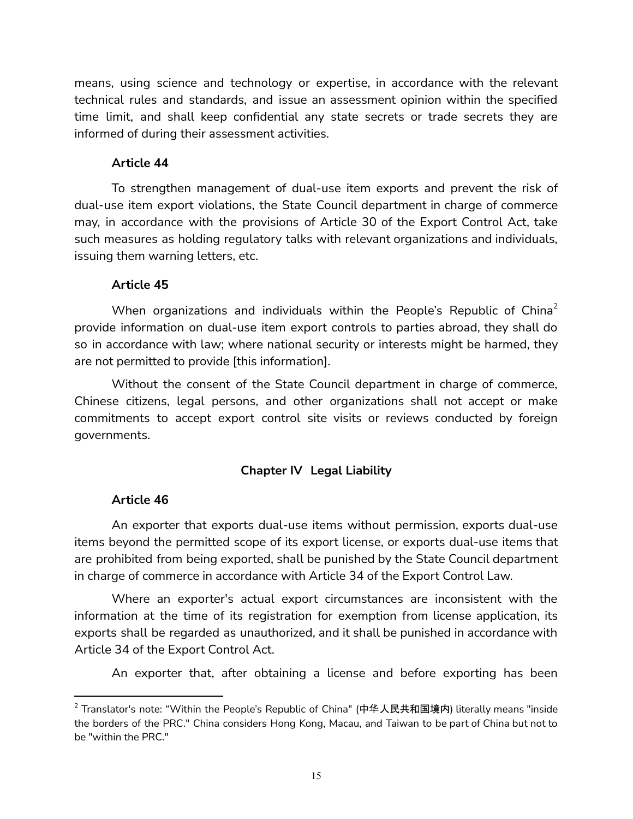means, using science and technology or expertise, in accordance with the relevant technical rules and standards, and issue an assessment opinion within the specified time limit, and shall keep confidential any state secrets or trade secrets they are informed of during their assessment activities.

#### **Article 44**

To strengthen management of dual-use item exports and prevent the risk of dual-use item export violations, the State Council department in charge of commerce may, in accordance with the provisions of Article 30 of the Export Control Act, take such measures as holding regulatory talks with relevant organizations and individuals, issuing them warning letters, etc.

## **Article 45**

When organizations and individuals within the People's Republic of China $^2$ provide information on dual-use item export controls to parties abroad, they shall do so in accordance with law; where national security or interests might be harmed, they are not permitted to provide [this information].

Without the consent of the State Council department in charge of commerce, Chinese citizens, legal persons, and other organizations shall not accept or make commitments to accept export control site visits or reviews conducted by foreign governments.

## **Chapter IV Legal Liability**

## **Article 46**

An exporter that exports dual-use items without permission, exports dual-use items beyond the permitted scope of its export license, or exports dual-use items that are prohibited from being exported, shall be punished by the State Council department in charge of commerce in accordance with Article 34 of the Export Control Law.

Where an exporter's actual export circumstances are inconsistent with the information at the time of its registration for exemption from license application, its exports shall be regarded as unauthorized, and it shall be punished in accordance with Article 34 of the Export Control Act.

An exporter that, after obtaining a license and before exporting has been

<sup>&</sup>lt;sup>2</sup> Translator's note: "Within the People's Republic of China" (中华人民共和国境内) literally means "inside the borders of the PRC." China considers Hong Kong, Macau, and Taiwan to be part of China but not to be "within the PRC."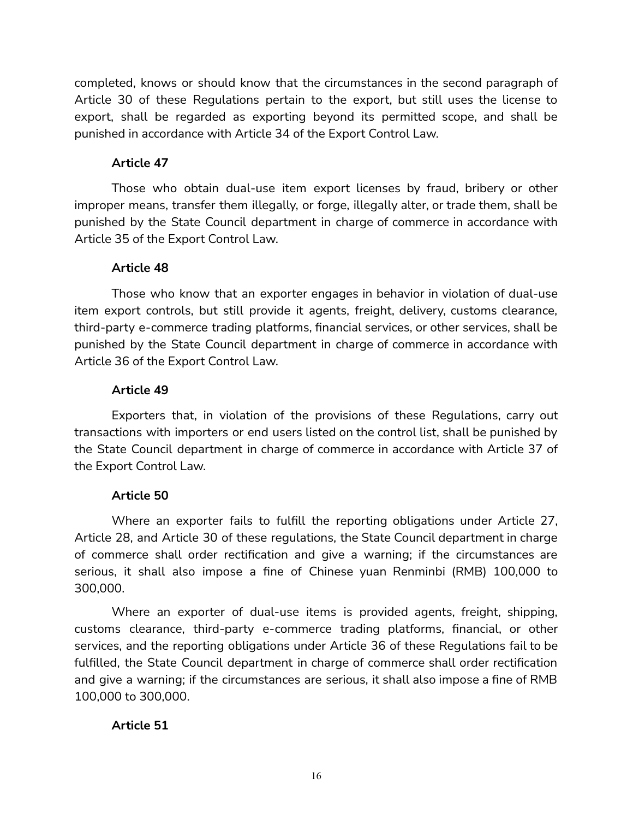completed, knows or should know that the circumstances in the second paragraph of Article 30 of these Regulations pertain to the export, but still uses the license to export, shall be regarded as exporting beyond its permitted scope, and shall be punished in accordance with Article 34 of the Export Control Law.

## **Article 47**

Those who obtain dual-use item export licenses by fraud, bribery or other improper means, transfer them illegally, or forge, illegally alter, or trade them, shall be punished by the State Council department in charge of commerce in accordance with Article 35 of the Export Control Law.

## **Article 48**

Those who know that an exporter engages in behavior in violation of dual-use item export controls, but still provide it agents, freight, delivery, customs clearance, third-party e-commerce trading platforms, financial services, or other services, shall be punished by the State Council department in charge of commerce in accordance with Article 36 of the Export Control Law.

## **Article 49**

Exporters that, in violation of the provisions of these Regulations, carry out transactions with importers or end users listed on the control list, shall be punished by the State Council department in charge of commerce in accordance with Article 37 of the Export Control Law.

## **Article 50**

Where an exporter fails to fulfill the reporting obligations under Article 27, Article 28, and Article 30 of these regulations, the State Council department in charge of commerce shall order rectification and give a warning; if the circumstances are serious, it shall also impose a fine of Chinese yuan Renminbi (RMB) 100,000 to 300,000.

Where an exporter of dual-use items is provided agents, freight, shipping, customs clearance, third-party e-commerce trading platforms, financial, or other services, and the reporting obligations under Article 36 of these Regulations fail to be fulfilled, the State Council department in charge of commerce shall order rectification and give a warning; if the circumstances are serious, it shall also impose a fine of RMB 100,000 to 300,000.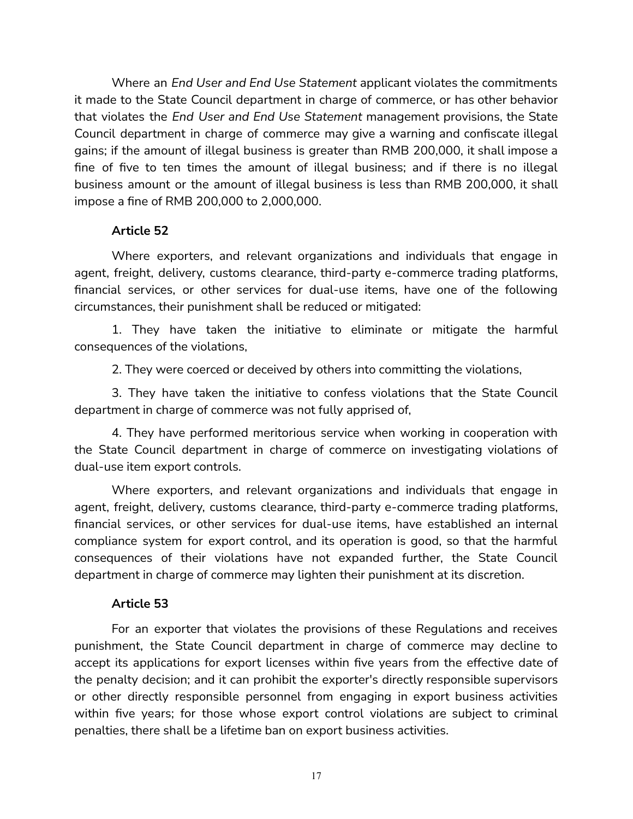Where an *End User and End Use Statement* applicant violates the commitments it made to the State Council department in charge of commerce, or has other behavior that violates the *End User and End Use Statement* management provisions, the State Council department in charge of commerce may give a warning and confiscate illegal gains; if the amount of illegal business is greater than RMB 200,000, it shall impose a fine of five to ten times the amount of illegal business; and if there is no illegal business amount or the amount of illegal business is less than RMB 200,000, it shall impose a fine of RMB 200,000 to 2,000,000.

#### **Article 52**

Where exporters, and relevant organizations and individuals that engage in agent, freight, delivery, customs clearance, third-party e-commerce trading platforms, financial services, or other services for dual-use items, have one of the following circumstances, their punishment shall be reduced or mitigated:

1. They have taken the initiative to eliminate or mitigate the harmful consequences of the violations,

2. They were coerced or deceived by others into committing the violations,

3. They have taken the initiative to confess violations that the State Council department in charge of commerce was not fully apprised of,

4. They have performed meritorious service when working in cooperation with the State Council department in charge of commerce on investigating violations of dual-use item export controls.

Where exporters, and relevant organizations and individuals that engage in agent, freight, delivery, customs clearance, third-party e-commerce trading platforms, financial services, or other services for dual-use items, have established an internal compliance system for export control, and its operation is good, so that the harmful consequences of their violations have not expanded further, the State Council department in charge of commerce may lighten their punishment at its discretion.

#### **Article 53**

For an exporter that violates the provisions of these Regulations and receives punishment, the State Council department in charge of commerce may decline to accept its applications for export licenses within five years from the effective date of the penalty decision; and it can prohibit the exporter's directly responsible supervisors or other directly responsible personnel from engaging in export business activities within five years; for those whose export control violations are subject to criminal penalties, there shall be a lifetime ban on export business activities.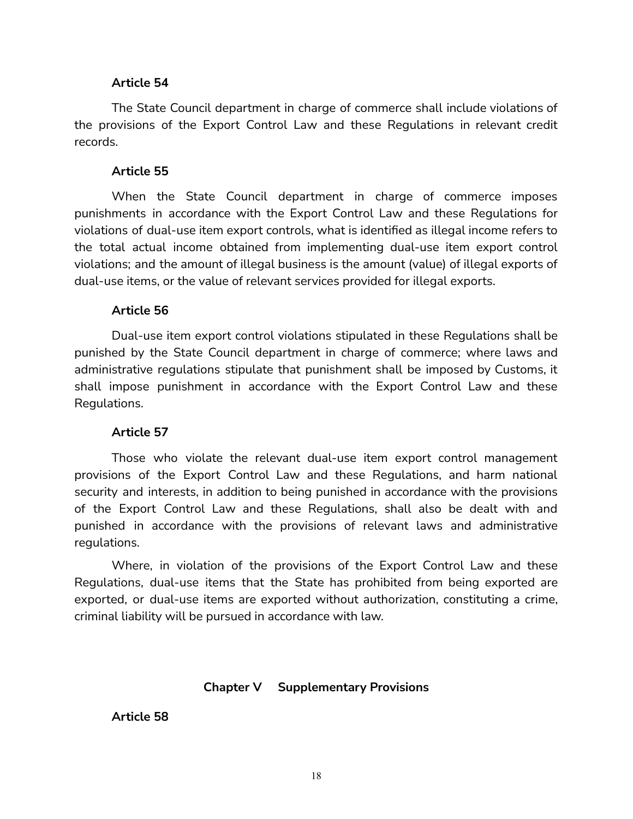#### **Article 54**

The State Council department in charge of commerce shall include violations of the provisions of the Export Control Law and these Regulations in relevant credit records.

#### **Article 55**

When the State Council department in charge of commerce imposes punishments in accordance with the Export Control Law and these Regulations for violations of dual-use item export controls, what is identified as illegal income refers to the total actual income obtained from implementing dual-use item export control violations; and the amount of illegal business is the amount (value) of illegal exports of dual-use items, or the value of relevant services provided for illegal exports.

#### **Article 56**

Dual-use item export control violations stipulated in these Regulations shall be punished by the State Council department in charge of commerce; where laws and administrative regulations stipulate that punishment shall be imposed by Customs, it shall impose punishment in accordance with the Export Control Law and these Regulations.

#### **Article 57**

Those who violate the relevant dual-use item export control management provisions of the Export Control Law and these Regulations, and harm national security and interests, in addition to being punished in accordance with the provisions of the Export Control Law and these Regulations, shall also be dealt with and punished in accordance with the provisions of relevant laws and administrative regulations.

Where, in violation of the provisions of the Export Control Law and these Regulations, dual-use items that the State has prohibited from being exported are exported, or dual-use items are exported without authorization, constituting a crime, criminal liability will be pursued in accordance with law.

#### **Chapter V Supplementary Provisions**